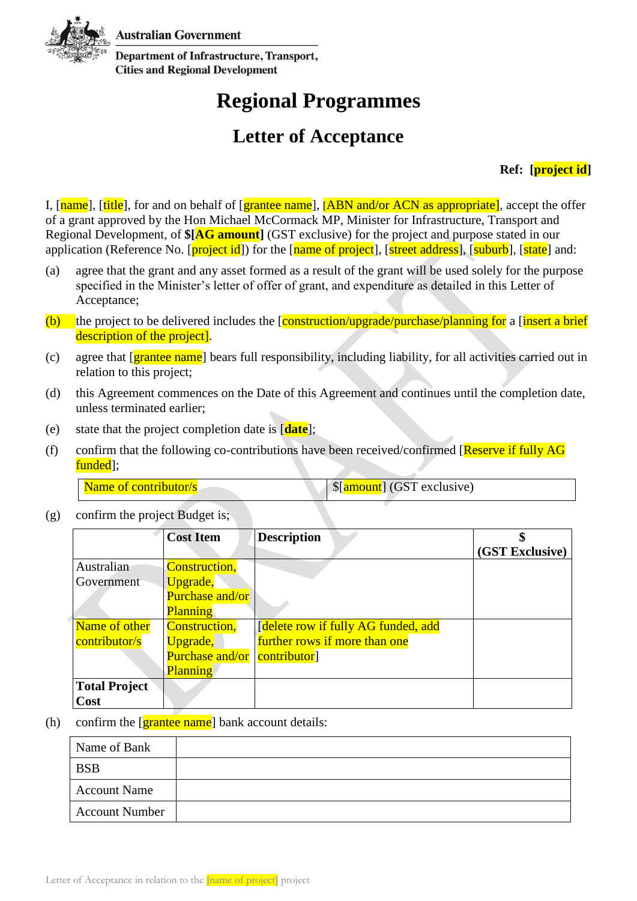**Australian Government** 



**Department of Infrastructure, Transport, Cities and Regional Development** 

## **Regional Programmes**

## **Letter of Acceptance**

## **Ref: [project id]**

I, [name], [title], for and on behalf of [grantee name], [ABN and/or ACN as appropriate], accept the offer of a grant approved by the Hon Michael McCormack MP, Minister for Infrastructure, Transport and Regional Development, of **\$[AG amount]** (GST exclusive) for the project and purpose stated in our application (Reference No. [project id]) for the [name of project], [street address], [suburb], [state] and:

- (a) agree that the grant and any asset formed as a result of the grant will be used solely for the purpose specified in the Minister's letter of offer of grant, and expenditure as detailed in this Letter of Acceptance;
- (b) the project to be delivered includes the  $\frac{1}{\text{constant}}$  (on  $\frac{1}{\text{constant}}$  a  $\frac{1}{\text{constant}}$  a  $\frac{1}{\text{constant}}$  abrief description of the project].
- (c) agree that [grantee name] bears full responsibility, including liability, for all activities carried out in relation to this project;
- (d) this Agreement commences on the Date of this Agreement and continues until the completion date, unless terminated earlier;
- (e) state that the project completion date is [**date**];
- (f) confirm that the following co-contributions have been received/confirmed  $[Reserve$  if fully AG funded<sup>[1]</sup>:

(g) confirm the project Budget is;

|                      | <b>Cost Item</b> | <b>Description</b>                        |                 |
|----------------------|------------------|-------------------------------------------|-----------------|
|                      |                  |                                           | (GST Exclusive) |
| Australian           | Construction,    |                                           |                 |
| Government           | Upgrade,         |                                           |                 |
|                      | Purchase and/or  |                                           |                 |
|                      | <b>Planning</b>  |                                           |                 |
| Name of other        | Construction,    | <b>delete row if fully AG funded, add</b> |                 |
| contributor/s        | Upgrade,         | further rows if more than one             |                 |
|                      | Purchase and/or  | contributor <sup>]</sup>                  |                 |
|                      | <b>Planning</b>  |                                           |                 |
| <b>Total Project</b> |                  |                                           |                 |
| Cost                 |                  |                                           |                 |

(h) confirm the  $\left[\frac{\text{grantee name}}{\text{name}}\right]$  bank account details:

| Name of Bank          |  |
|-----------------------|--|
| <b>BSB</b>            |  |
| <b>Account Name</b>   |  |
| <b>Account Number</b> |  |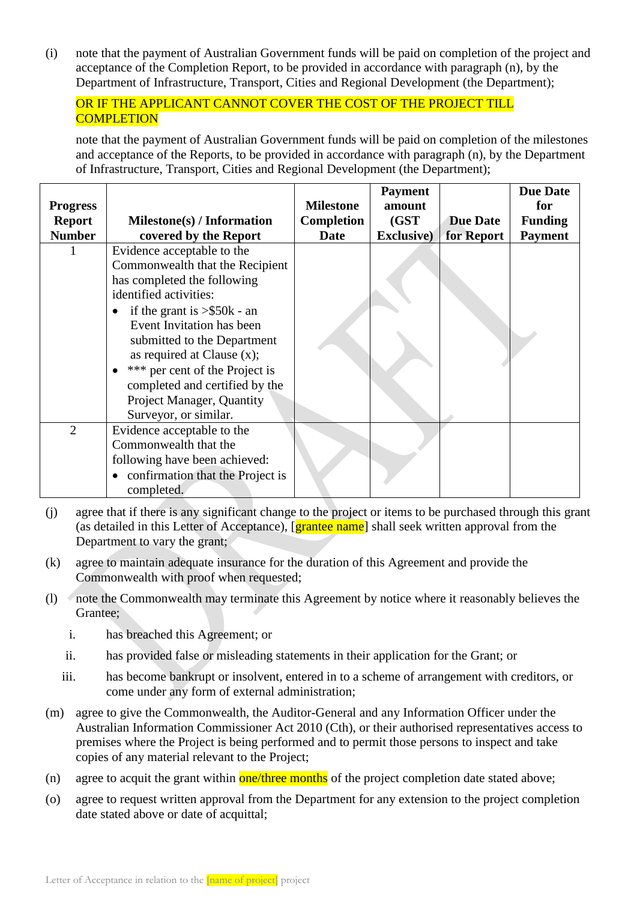(i) note that the payment of Australian Government funds will be paid on completion of the project and acceptance of the Completion Report, to be provided in accordance with paragraph (n), by the Department of Infrastructure, Transport, Cities and Regional Development (the Department);

## OR IF THE APPLICANT CANNOT COVER THE COST OF THE PROJECT TILL **COMPLETION**

note that the payment of Australian Government funds will be paid on completion of the milestones and acceptance of the Reports, to be provided in accordance with paragraph (n), by the Department of Infrastructure, Transport, Cities and Regional Development (the Department);

|                 |                                   |                  | <b>Payment</b>     |                 | <b>Due Date</b> |
|-----------------|-----------------------------------|------------------|--------------------|-----------------|-----------------|
| <b>Progress</b> |                                   | <b>Milestone</b> | amount             |                 | for             |
| <b>Report</b>   | Milestone(s) / Information        | Completion       | (GST)              | <b>Due Date</b> | <b>Funding</b>  |
| <b>Number</b>   | covered by the Report             | Date             | <b>Exclusive</b> ) | for Report      | <b>Payment</b>  |
|                 | Evidence acceptable to the        |                  |                    |                 |                 |
|                 | Commonwealth that the Recipient   |                  |                    |                 |                 |
|                 | has completed the following       |                  |                    |                 |                 |
|                 | identified activities:            |                  |                    |                 |                 |
|                 | if the grant is $>$ \$50 $k$ - an |                  |                    |                 |                 |
|                 | Event Invitation has been         |                  |                    |                 |                 |
|                 | submitted to the Department       |                  |                    |                 |                 |
|                 | as required at Clause $(x)$ ;     |                  |                    |                 |                 |
|                 | *** per cent of the Project is    |                  |                    |                 |                 |
|                 | completed and certified by the    |                  |                    |                 |                 |
|                 | Project Manager, Quantity         |                  |                    |                 |                 |
|                 | Surveyor, or similar.             |                  |                    |                 |                 |
| $\overline{2}$  | Evidence acceptable to the        |                  |                    |                 |                 |
|                 | Commonwealth that the             |                  |                    |                 |                 |
|                 | following have been achieved:     |                  |                    |                 |                 |
|                 | confirmation that the Project is  |                  |                    |                 |                 |
|                 | completed.                        |                  |                    |                 |                 |

- (j) agree that if there is any significant change to the project or items to be purchased through this grant (as detailed in this Letter of Acceptance), [grantee name] shall seek written approval from the Department to vary the grant;
- (k) agree to maintain adequate insurance for the duration of this Agreement and provide the Commonwealth with proof when requested;
- (l) note the Commonwealth may terminate this Agreement by notice where it reasonably believes the Grantee;
	- i. has breached this Agreement; or
	- ii. has provided false or misleading statements in their application for the Grant; or
	- iii. has become bankrupt or insolvent, entered in to a scheme of arrangement with creditors, or come under any form of external administration;
- (m) agree to give the Commonwealth, the Auditor-General and any Information Officer under the Australian Information Commissioner Act 2010 (Cth), or their authorised representatives access to premises where the Project is being performed and to permit those persons to inspect and take copies of any material relevant to the Project;
- (n) agree to acquit the grant within  $one/three$  months of the project completion date stated above;
- (o) agree to request written approval from the Department for any extension to the project completion date stated above or date of acquittal;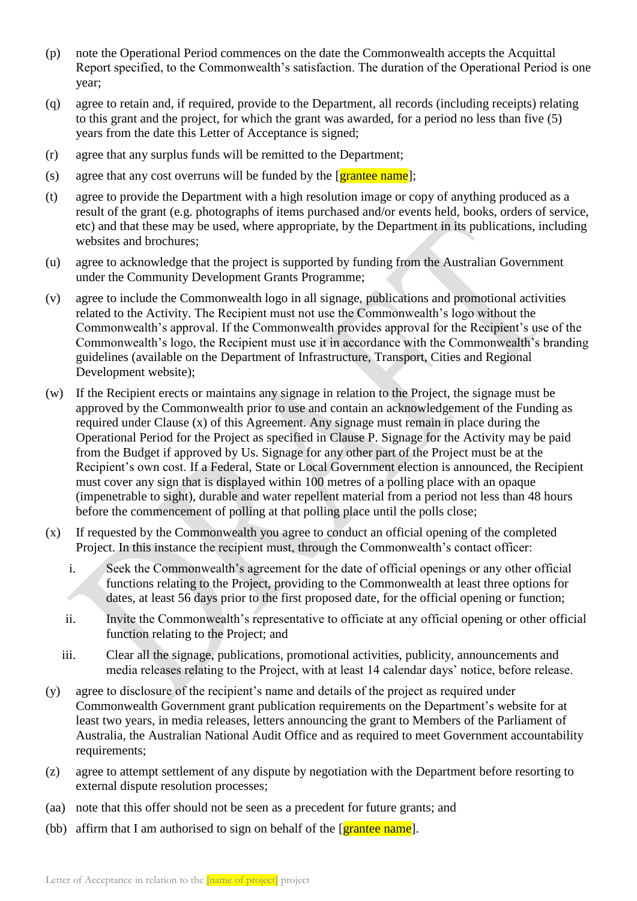- (p) note the Operational Period commences on the date the Commonwealth accepts the Acquittal Report specified, to the Commonwealth's satisfaction. The duration of the Operational Period is one year;
- (q) agree to retain and, if required, provide to the Department, all records (including receipts) relating to this grant and the project, for which the grant was awarded, for a period no less than five (5) years from the date this Letter of Acceptance is signed;
- (r) agree that any surplus funds will be remitted to the Department;
- (s) agree that any cost overruns will be funded by the  $[grantee name]$ ;
- (t) agree to provide the Department with a high resolution image or copy of anything produced as a result of the grant (e.g. photographs of items purchased and/or events held, books, orders of service, etc) and that these may be used, where appropriate, by the Department in its publications, including websites and brochures;
- (u) agree to acknowledge that the project is supported by funding from the Australian Government under the Community Development Grants Programme;
- (v) agree to include the Commonwealth logo in all signage, publications and promotional activities related to the Activity. The Recipient must not use the Commonwealth's logo without the Commonwealth's approval. If the Commonwealth provides approval for the Recipient's use of the Commonwealth's logo, the Recipient must use it in accordance with the Commonwealth's branding guidelines (available on the Department of Infrastructure, Transport, Cities and Regional Development website);
- (w) If the Recipient erects or maintains any signage in relation to the Project, the signage must be approved by the Commonwealth prior to use and contain an acknowledgement of the Funding as required under Clause (x) of this Agreement. Any signage must remain in place during the Operational Period for the Project as specified in Clause P. Signage for the Activity may be paid from the Budget if approved by Us. Signage for any other part of the Project must be at the Recipient's own cost. If a Federal, State or Local Government election is announced, the Recipient must cover any sign that is displayed within 100 metres of a polling place with an opaque (impenetrable to sight), durable and water repellent material from a period not less than 48 hours before the commencement of polling at that polling place until the polls close;
- (x) If requested by the Commonwealth you agree to conduct an official opening of the completed Project. In this instance the recipient must, through the Commonwealth's contact officer:
	- i. Seek the Commonwealth's agreement for the date of official openings or any other official functions relating to the Project, providing to the Commonwealth at least three options for dates, at least 56 days prior to the first proposed date, for the official opening or function;
	- ii. Invite the Commonwealth's representative to officiate at any official opening or other official function relating to the Project; and
	- iii. Clear all the signage, publications, promotional activities, publicity, announcements and media releases relating to the Project, with at least 14 calendar days' notice, before release.
- (y) agree to disclosure of the recipient's name and details of the project as required under Commonwealth Government grant publication requirements on the Department's website for at least two years, in media releases, letters announcing the grant to Members of the Parliament of Australia, the Australian National Audit Office and as required to meet Government accountability requirements;
- (z) agree to attempt settlement of any dispute by negotiation with the Department before resorting to external dispute resolution processes;
- (aa) note that this offer should not be seen as a precedent for future grants; and
- (bb) affirm that I am authorised to sign on behalf of the  $\lceil$  grantee name.